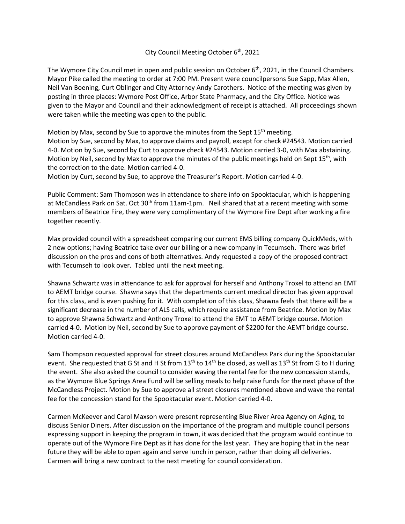## City Council Meeting October  $6<sup>th</sup>$ , 2021

The Wymore City Council met in open and public session on October 6<sup>th</sup>, 2021, in the Council Chambers. Mayor Pike called the meeting to order at 7:00 PM. Present were councilpersons Sue Sapp, Max Allen, Neil Van Boening, Curt Oblinger and City Attorney Andy Carothers. Notice of the meeting was given by posting in three places: Wymore Post Office, Arbor State Pharmacy, and the City Office. Notice was given to the Mayor and Council and their acknowledgment of receipt is attached. All proceedings shown were taken while the meeting was open to the public.

Motion by Max, second by Sue to approve the minutes from the Sept  $15<sup>th</sup>$  meeting. Motion by Sue, second by Max, to approve claims and payroll, except for check #24543. Motion carried 4-0. Motion by Sue, second by Curt to approve check #24543. Motion carried 3-0, with Max abstaining. Motion by Neil, second by Max to approve the minutes of the public meetings held on Sept  $15<sup>th</sup>$ , with the correction to the date. Motion carried 4-0.

Motion by Curt, second by Sue, to approve the Treasurer's Report. Motion carried 4-0.

Public Comment: Sam Thompson was in attendance to share info on Spooktacular, which is happening at McCandless Park on Sat. Oct  $30<sup>th</sup>$  from 11am-1pm. Neil shared that at a recent meeting with some members of Beatrice Fire, they were very complimentary of the Wymore Fire Dept after working a fire together recently.

Max provided council with a spreadsheet comparing our current EMS billing company QuickMeds, with 2 new options; having Beatrice take over our billing or a new company in Tecumseh. There was brief discussion on the pros and cons of both alternatives. Andy requested a copy of the proposed contract with Tecumseh to look over. Tabled until the next meeting.

Shawna Schwartz was in attendance to ask for approval for herself and Anthony Troxel to attend an EMT to AEMT bridge course. Shawna says that the departments current medical director has given approval for this class, and is even pushing for it. With completion of this class, Shawna feels that there will be a significant decrease in the number of ALS calls, which require assistance from Beatrice. Motion by Max to approve Shawna Schwartz and Anthony Troxel to attend the EMT to AEMT bridge course. Motion carried 4-0. Motion by Neil, second by Sue to approve payment of \$2200 for the AEMT bridge course. Motion carried 4-0.

Sam Thompson requested approval for street closures around McCandless Park during the Spooktacular event. She requested that G St and H St from 13<sup>th</sup> to 14<sup>th</sup> be closed, as well as 13<sup>th</sup> St from G to H during the event. She also asked the council to consider waving the rental fee for the new concession stands, as the Wymore Blue Springs Area Fund will be selling meals to help raise funds for the next phase of the McCandless Project. Motion by Sue to approve all street closures mentioned above and wave the rental fee for the concession stand for the Spooktacular event. Motion carried 4-0.

Carmen McKeever and Carol Maxson were present representing Blue River Area Agency on Aging, to discuss Senior Diners. After discussion on the importance of the program and multiple council persons expressing support in keeping the program in town, it was decided that the program would continue to operate out of the Wymore Fire Dept as it has done for the last year. They are hoping that in the near future they will be able to open again and serve lunch in person, rather than doing all deliveries. Carmen will bring a new contract to the next meeting for council consideration.